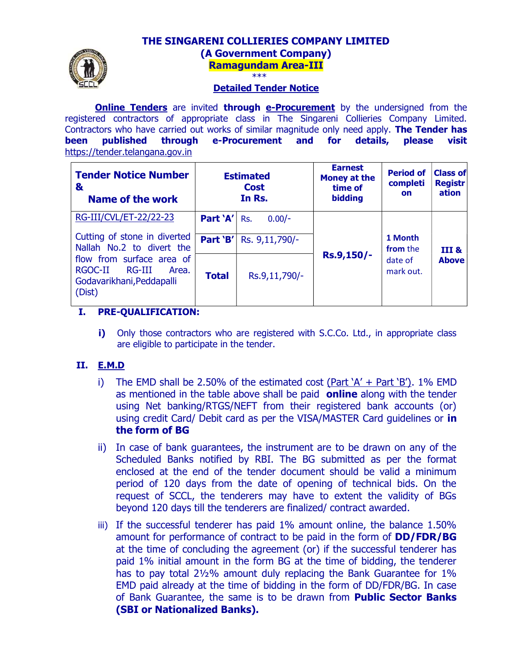# THE SINGARENI COLLIERIES COMPANY LIMITED (A Government Company) Ramagundam Area-III



#### Detailed Tender Notice

**Online Tenders** are invited **through e-Procurement** by the undersigned from the registered contractors of appropriate class in The Singareni Collieries Company Limited. Contractors who have carried out works of similar magnitude only need apply. The Tender has been published through e-Procurement and for details, please visit https://tender.telangana.gov.in

| <b>Tender Notice Number</b><br>&<br>Name of the work                                           |                      | <b>Estimated</b><br><b>Cost</b><br>In Rs. | <b>Earnest</b><br><b>Money at the</b><br>time of<br><b>bidding</b> | <b>Period of</b><br>completi<br><b>on</b>   | <b>Class of</b><br><b>Registr</b><br>ation |
|------------------------------------------------------------------------------------------------|----------------------|-------------------------------------------|--------------------------------------------------------------------|---------------------------------------------|--------------------------------------------|
| RG-III/CVL/ET-22/22-23<br>Cutting of stone in diverted<br>Nallah No.2 to divert the            | Part 'A'<br>Part 'B' | $0.00/-$<br>Rs.<br>Rs. 9,11,790/-         | Rs.9,150/-                                                         | 1 Month<br>from the<br>date of<br>mark out. | III &<br><b>Above</b>                      |
| flow from surface area of<br>RGOC-II<br>RG-III<br>Area.<br>Godavarikhani, Peddapalli<br>(Dist) | <b>Total</b>         | Rs.9,11,790/-                             |                                                                    |                                             |                                            |

# I. PRE-QUALIFICATION:

i) Only those contractors who are registered with S.C.Co. Ltd., in appropriate class are eligible to participate in the tender.

# II. E.M.D

- i) The EMD shall be 2.50% of the estimated cost (Part  $A' + Part B'$ ). 1% EMD as mentioned in the table above shall be paid online along with the tender using Net banking/RTGS/NEFT from their registered bank accounts (or) using credit Card/ Debit card as per the VISA/MASTER Card guidelines or in the form of BG
- ii) In case of bank guarantees, the instrument are to be drawn on any of the Scheduled Banks notified by RBI. The BG submitted as per the format enclosed at the end of the tender document should be valid a minimum period of 120 days from the date of opening of technical bids. On the request of SCCL, the tenderers may have to extent the validity of BGs beyond 120 days till the tenderers are finalized/ contract awarded.
- iii) If the successful tenderer has paid 1% amount online, the balance 1.50% amount for performance of contract to be paid in the form of **DD/FDR/BG** at the time of concluding the agreement (or) if the successful tenderer has paid 1% initial amount in the form BG at the time of bidding, the tenderer has to pay total 2½% amount duly replacing the Bank Guarantee for 1% EMD paid already at the time of bidding in the form of DD/FDR/BG. In case of Bank Guarantee, the same is to be drawn from **Public Sector Banks** (SBI or Nationalized Banks).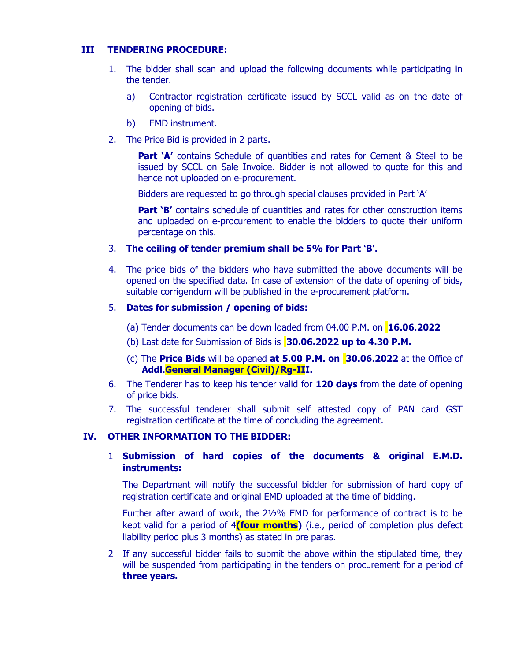#### III TENDERING PROCEDURE:

- 1. The bidder shall scan and upload the following documents while participating in the tender.
	- a) Contractor registration certificate issued by SCCL valid as on the date of opening of bids.
	- b) EMD instrument.
- 2. The Price Bid is provided in 2 parts.

**Part 'A'** contains Schedule of quantities and rates for Cement & Steel to be issued by SCCL on Sale Invoice. Bidder is not allowed to quote for this and hence not uploaded on e-procurement.

Bidders are requested to go through special clauses provided in Part 'A'

**Part 'B'** contains schedule of quantities and rates for other construction items and uploaded on e-procurement to enable the bidders to quote their uniform percentage on this.

- 3. The ceiling of tender premium shall be 5% for Part 'B'.
- 4. The price bids of the bidders who have submitted the above documents will be opened on the specified date. In case of extension of the date of opening of bids, suitable corrigendum will be published in the e-procurement platform.

### 5. Dates for submission / opening of bids:

- (a) Tender documents can be down loaded from 04.00 P.M. on 16.06.2022
- (b) Last date for Submission of Bids is 30.06.2022 up to 4.30 P.M.
- (c) The **Price Bids** will be opened **at 5.00 P.M. on 30.06.2022** at the Office of Addl.General Manager (Civil)/Rg-III.
- 6. The Tenderer has to keep his tender valid for 120 days from the date of opening of price bids.
- 7. The successful tenderer shall submit self attested copy of PAN card GST registration certificate at the time of concluding the agreement.

#### IV. OTHER INFORMATION TO THE BIDDER:

1 Submission of hard copies of the documents & original E.M.D. instruments:

The Department will notify the successful bidder for submission of hard copy of registration certificate and original EMD uploaded at the time of bidding.

Further after award of work, the 2½% EMD for performance of contract is to be kept valid for a period of 4(four months) (i.e., period of completion plus defect liability period plus 3 months) as stated in pre paras.

2 If any successful bidder fails to submit the above within the stipulated time, they will be suspended from participating in the tenders on procurement for a period of three years.